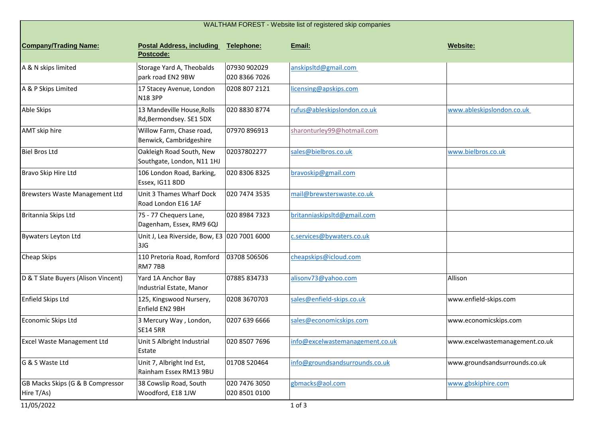| WALTHAM FOREST - Website list of registered skip companies |                                                                 |                                |                                 |                                |  |  |  |
|------------------------------------------------------------|-----------------------------------------------------------------|--------------------------------|---------------------------------|--------------------------------|--|--|--|
| <b>Company/Trading Name:</b>                               | <b>Postal Address, including</b><br>Postcode:                   | Telephone:                     | Email:                          | Website:                       |  |  |  |
| A & N skips limited                                        | Storage Yard A, Theobalds<br>park road EN2 9BW                  | 07930 902029<br>020 8366 7026  | anskipsltd@gmail.com            |                                |  |  |  |
| A & P Skips Limited                                        | 17 Stacey Avenue, London<br><b>N183PP</b>                       | 0208 807 2121                  | licensing@apskips.com           |                                |  |  |  |
| Able Skips                                                 | 13 Mandeville House, Rolls<br>Rd, Bermondsey. SE1 5DX           | 020 8830 8774                  | rufus@ableskipslondon.co.uk     | www.ableskipslondon.co.uk      |  |  |  |
| AMT skip hire                                              | Willow Farm, Chase road,<br>Benwick, Cambridgeshire             | 07970 896913                   | sharonturley99@hotmail.com      |                                |  |  |  |
| <b>Biel Bros Ltd</b>                                       | Oakleigh Road South, New<br>Southgate, London, N11 1HJ          | 02037802277                    | sales@bielbros.co.uk            | www.bielbros.co.uk             |  |  |  |
| Bravo Skip Hire Ltd                                        | 106 London Road, Barking,<br>Essex, IG11 8DD                    | 020 8306 8325                  | bravoskip@gmail.com             |                                |  |  |  |
| Brewsters Waste Management Ltd                             | Unit 3 Thames Wharf Dock<br>Road London E16 1AF                 | 020 7474 3535                  | mail@brewsterswaste.co.uk       |                                |  |  |  |
| Britannia Skips Ltd                                        | 75 - 77 Chequers Lane,<br>Dagenham, Essex, RM9 6QJ              | 020 8984 7323                  | britanniaskipsltd@gmail.com     |                                |  |  |  |
| <b>Bywaters Leyton Ltd</b>                                 | Unit J, Lea Riverside, Bow, E3 020 7001 6000<br>3J <sub>G</sub> |                                | c.services@bywaters.co.uk       |                                |  |  |  |
| Cheap Skips                                                | 110 Pretoria Road, Romford<br>RM77BB                            | 03708 506506                   | cheapskips@icloud.com           |                                |  |  |  |
| D & T Slate Buyers (Alison Vincent)                        | Yard 1A Anchor Bay<br>Industrial Estate, Manor                  | 07885 834733                   | alisonv73@yahoo.com             | Allison                        |  |  |  |
| Enfield Skips Ltd                                          | 125, Kingswood Nursery,<br>Enfield EN2 9BH                      | 0208 3670703                   | sales@enfield-skips.co.uk       | www.enfield-skips.com          |  |  |  |
| Economic Skips Ltd                                         | 3 Mercury Way, London,<br><b>SE14 5RR</b>                       | 0207 639 6666                  | sales@economicskips.com         | www.economicskips.com          |  |  |  |
| <b>Excel Waste Management Ltd</b>                          | Unit 5 Albright Industrial<br>Estate                            | 020 8507 7696                  | info@excelwastemanagement.co.uk | www.excelwastemanagement.co.uk |  |  |  |
| G & S Waste Ltd                                            | Unit 7, Albright Ind Est,<br>Rainham Essex RM13 9BU             | 01708 520464                   | info@groundsandsurrounds.co.uk  | www.groundsandsurrounds.co.uk  |  |  |  |
| GB Macks Skips (G & B Compressor<br>Hire T/As)             | 38 Cowslip Road, South<br>Woodford, E18 1JW                     | 020 7476 3050<br>020 8501 0100 | gbmacks@aol.com                 | www.gbskiphire.com             |  |  |  |
| 11/05/2022                                                 |                                                                 |                                | 1 of 3                          |                                |  |  |  |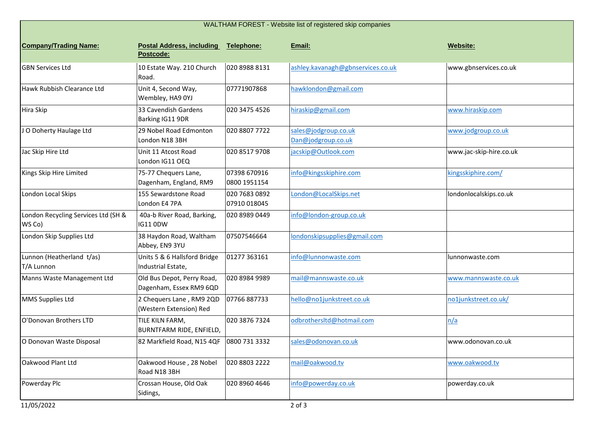| WALTHAM FOREST - Website list of registered skip companies |                                                       |                               |                                            |                         |  |  |
|------------------------------------------------------------|-------------------------------------------------------|-------------------------------|--------------------------------------------|-------------------------|--|--|
| <b>Company/Trading Name:</b>                               | <b>Postal Address, including</b><br>Postcode:         | Telephone:                    | Email:                                     | Website:                |  |  |
| <b>GBN Services Ltd</b>                                    | 10 Estate Way. 210 Church<br>Road.                    | 020 8988 8131                 | ashley.kavanagh@gbnservices.co.uk          | www.gbnservices.co.uk   |  |  |
| Hawk Rubbish Clearance Ltd                                 | Unit 4, Second Way,<br>Wembley, HA9 0YJ               | 07771907868                   | hawklondon@gmail.com                       |                         |  |  |
| Hira Skip                                                  | 33 Cavendish Gardens<br>Barking IG11 9DR              | 020 3475 4526                 | hiraskip@gmail.com                         | www.hiraskip.com        |  |  |
| JO Doherty Haulage Ltd                                     | 29 Nobel Road Edmonton<br>London N18 3BH              | 020 8807 7722                 | sales@jodgroup.co.uk<br>Dan@jodgroup.co.uk | www.jodgroup.co.uk      |  |  |
| Jac Skip Hire Ltd                                          | Unit 11 Atcost Road<br>London IG11 OEQ                | 020 8517 9708                 | jacskip@Outlook.com                        | www.jac-skip-hire.co.uk |  |  |
| Kings Skip Hire Limited                                    | 75-77 Chequers Lane,<br>Dagenham, England, RM9        | 07398 670916<br>0800 1951154  | info@kingsskiphire.com                     | kingsskiphire.com/      |  |  |
| London Local Skips                                         | 155 Sewardstone Road<br>London E4 7PA                 | 020 7683 0892<br>07910 018045 | London@LocalSkips.net                      | londonlocalskips.co.uk  |  |  |
| London Recycling Services Ltd (SH &<br>WS Co)              | 40a-b River Road, Barking,<br>IG11 0DW                | 020 8989 0449                 | info@london-group.co.uk                    |                         |  |  |
| London Skip Supplies Ltd                                   | 38 Haydon Road, Waltham<br>Abbey, EN9 3YU             | 07507546664                   | londonskipsupplies@gmail.com               |                         |  |  |
| Lunnon (Heatherland t/as)<br>T/A Lunnon                    | Units 5 & 6 Hallsford Bridge<br>Industrial Estate,    | 01277 363161                  | info@lunnonwaste.com                       | lunnonwaste.com         |  |  |
| Manns Waste Management Ltd                                 | Old Bus Depot, Perry Road,<br>Dagenham, Essex RM9 6QD | 020 8984 9989                 | mail@mannswaste.co.uk                      | www.mannswaste.co.uk    |  |  |
| MMS Supplies Ltd                                           | 2 Chequers Lane, RM9 2QD<br>(Western Extension) Red   | 07766887733                   | hello@no1junkstreet.co.uk                  | no1junkstreet.co.uk/    |  |  |
| O'Donovan Brothers LTD                                     | TILE KILN FARM,<br>BURNTFARM RIDE, ENFIELD,           | 020 3876 7324                 | odbrothersItd@hotmail.com                  | n/a                     |  |  |
| O Donovan Waste Disposal                                   | 82 Markfield Road, N15 4QF   0800 731 3332            |                               | sales@odonovan.co.uk                       | www.odonovan.co.uk      |  |  |
| Oakwood Plant Ltd                                          | Oakwood House, 28 Nobel<br>Road N18 3BH               | 020 8803 2222                 | mail@oakwood.tv                            | www.oakwood.tv          |  |  |
| Powerday Plc                                               | Crossan House, Old Oak<br>Sidings,                    | 020 8960 4646                 | info@powerday.co.uk                        | powerday.co.uk          |  |  |
| 11/05/2022                                                 |                                                       |                               | 2 of 3                                     |                         |  |  |